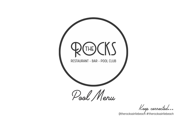

Keep connected...

@therocksairliebeach #therocksairliebeach